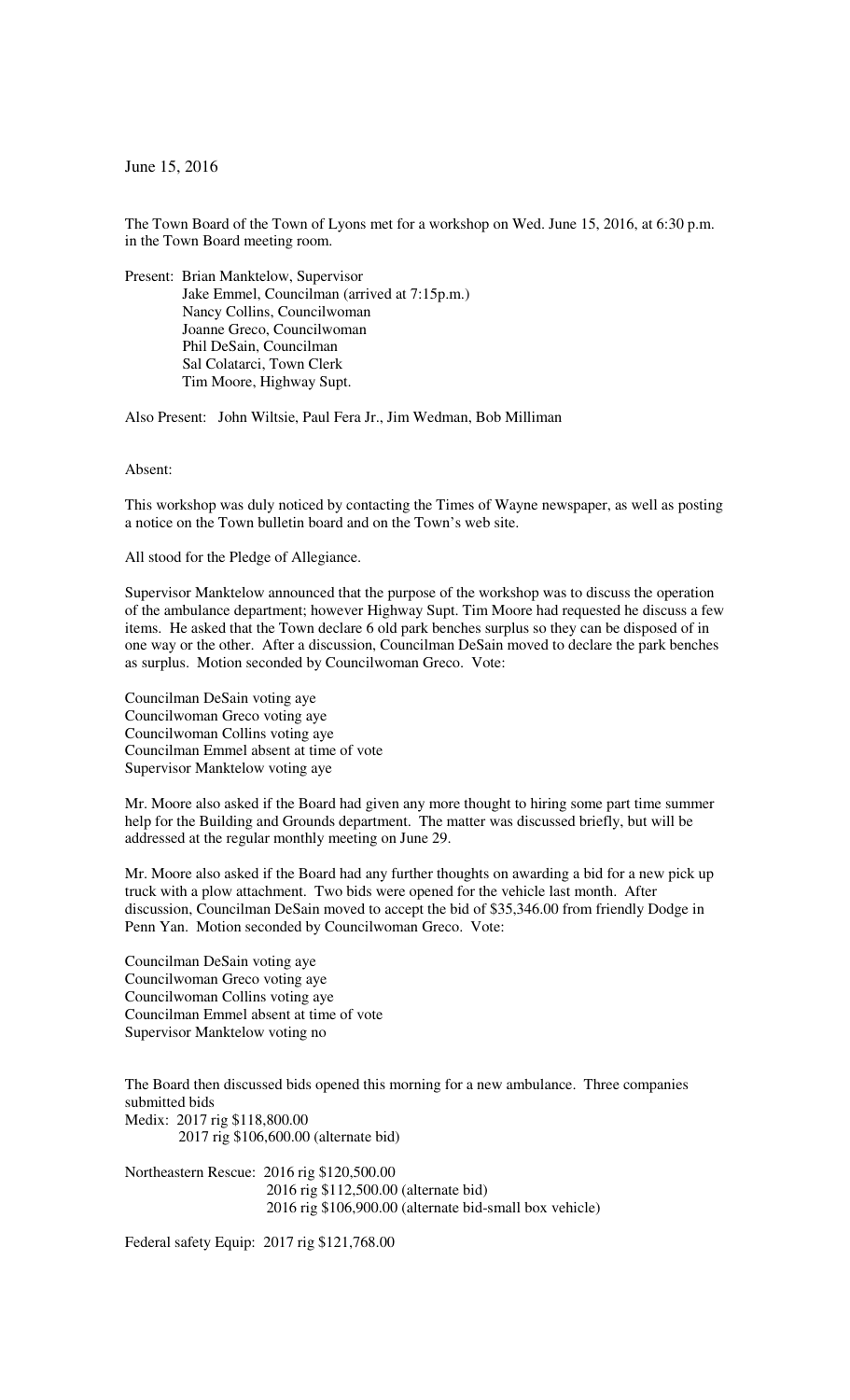June 15, 2016

The Town Board of the Town of Lyons met for a workshop on Wed. June 15, 2016, at 6:30 p.m. in the Town Board meeting room.

Present: Brian Manktelow, Supervisor Jake Emmel, Councilman (arrived at 7:15p.m.) Nancy Collins, Councilwoman Joanne Greco, Councilwoman Phil DeSain, Councilman Sal Colatarci, Town Clerk Tim Moore, Highway Supt.

Also Present: John Wiltsie, Paul Fera Jr., Jim Wedman, Bob Milliman

Absent:

This workshop was duly noticed by contacting the Times of Wayne newspaper, as well as posting a notice on the Town bulletin board and on the Town's web site.

All stood for the Pledge of Allegiance.

Supervisor Manktelow announced that the purpose of the workshop was to discuss the operation of the ambulance department; however Highway Supt. Tim Moore had requested he discuss a few items. He asked that the Town declare 6 old park benches surplus so they can be disposed of in one way or the other. After a discussion, Councilman DeSain moved to declare the park benches as surplus. Motion seconded by Councilwoman Greco. Vote:

Councilman DeSain voting aye Councilwoman Greco voting aye Councilwoman Collins voting aye Councilman Emmel absent at time of vote Supervisor Manktelow voting aye

Mr. Moore also asked if the Board had given any more thought to hiring some part time summer help for the Building and Grounds department. The matter was discussed briefly, but will be addressed at the regular monthly meeting on June 29.

Mr. Moore also asked if the Board had any further thoughts on awarding a bid for a new pick up truck with a plow attachment. Two bids were opened for the vehicle last month. After discussion, Councilman DeSain moved to accept the bid of \$35,346.00 from friendly Dodge in Penn Yan. Motion seconded by Councilwoman Greco. Vote:

Councilman DeSain voting aye Councilwoman Greco voting aye Councilwoman Collins voting aye Councilman Emmel absent at time of vote Supervisor Manktelow voting no

The Board then discussed bids opened this morning for a new ambulance. Three companies submitted bids Medix: 2017 rig \$118,800.00 2017 rig \$106,600.00 (alternate bid)

Northeastern Rescue: 2016 rig \$120,500.00 2016 rig \$112,500.00 (alternate bid) 2016 rig \$106,900.00 (alternate bid-small box vehicle)

Federal safety Equip: 2017 rig \$121,768.00